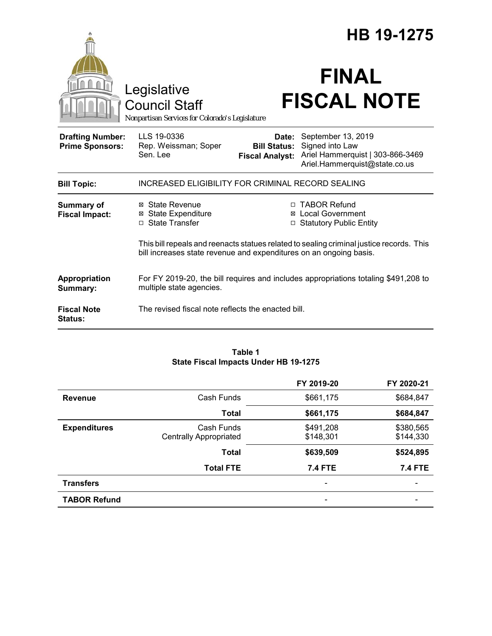|                                                   |                                                                                                                                                                |                                                        | HB 19-1275                                                                                                 |  |
|---------------------------------------------------|----------------------------------------------------------------------------------------------------------------------------------------------------------------|--------------------------------------------------------|------------------------------------------------------------------------------------------------------------|--|
|                                                   | Legislative<br><b>Council Staff</b><br>Nonpartisan Services for Colorado's Legislature                                                                         |                                                        | <b>FINAL</b><br><b>FISCAL NOTE</b>                                                                         |  |
| <b>Drafting Number:</b><br><b>Prime Sponsors:</b> | LLS 19-0336<br>Rep. Weissman; Soper<br>Sen. Lee                                                                                                                | Date:<br><b>Bill Status:</b><br><b>Fiscal Analyst:</b> | September 13, 2019<br>Signed into Law<br>Ariel Hammerquist   303-866-3469<br>Ariel.Hammerquist@state.co.us |  |
| <b>Bill Topic:</b>                                | INCREASED ELIGIBILITY FOR CRIMINAL RECORD SEALING                                                                                                              |                                                        |                                                                                                            |  |
| <b>Summary of</b><br><b>Fiscal Impact:</b>        | ⊠ State Revenue<br>⊠ State Expenditure<br>□ State Transfer                                                                                                     |                                                        | □ TABOR Refund<br><b>⊠</b> Local Government<br>□ Statutory Public Entity                                   |  |
|                                                   | This bill repeals and reenacts statues related to sealing criminal justice records. This<br>bill increases state revenue and expenditures on an ongoing basis. |                                                        |                                                                                                            |  |
| Appropriation<br>Summary:                         | For FY 2019-20, the bill requires and includes appropriations totaling \$491,208 to<br>multiple state agencies.                                                |                                                        |                                                                                                            |  |
| <b>Fiscal Note</b><br>Status:                     | The revised fiscal note reflects the enacted bill.                                                                                                             |                                                        |                                                                                                            |  |

#### **Table 1 State Fiscal Impacts Under HB 19-1275**

|                     |                               | FY 2019-20     | FY 2020-21     |
|---------------------|-------------------------------|----------------|----------------|
| <b>Revenue</b>      | Cash Funds                    | \$661,175      | \$684,847      |
|                     | <b>Total</b>                  | \$661,175      | \$684,847      |
| <b>Expenditures</b> | Cash Funds                    | \$491,208      | \$380,565      |
|                     | <b>Centrally Appropriated</b> | \$148,301      | \$144,330      |
|                     | <b>Total</b>                  | \$639,509      | \$524,895      |
|                     | <b>Total FTE</b>              | <b>7.4 FTE</b> | <b>7.4 FTE</b> |
| <b>Transfers</b>    |                               |                |                |
| <b>TABOR Refund</b> |                               |                |                |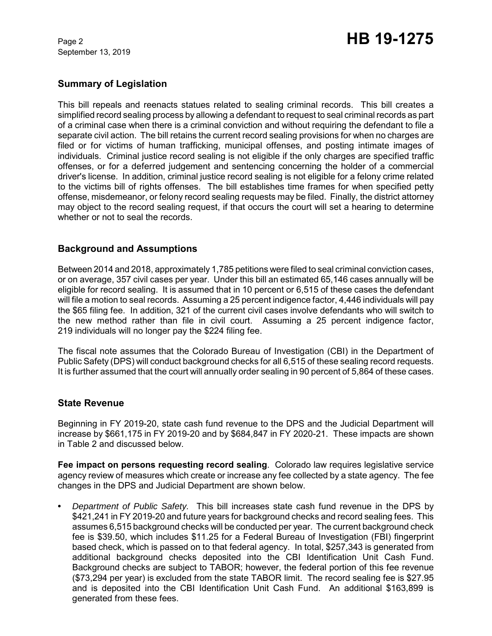# Page 2 **HB 19-1275**

## **Summary of Legislation**

This bill repeals and reenacts statues related to sealing criminal records. This bill creates a simplified record sealing process by allowing a defendant to request to seal criminal records as part of a criminal case when there is a criminal conviction and without requiring the defendant to file a separate civil action. The bill retains the current record sealing provisions for when no charges are filed or for victims of human trafficking, municipal offenses, and posting intimate images of individuals. Criminal justice record sealing is not eligible if the only charges are specified traffic offenses, or for a deferred judgement and sentencing concerning the holder of a commercial driver's license. In addition, criminal justice record sealing is not eligible for a felony crime related to the victims bill of rights offenses. The bill establishes time frames for when specified petty offense, misdemeanor, or felony record sealing requests may be filed. Finally, the district attorney may object to the record sealing request, if that occurs the court will set a hearing to determine whether or not to seal the records.

## **Background and Assumptions**

Between 2014 and 2018, approximately 1,785 petitions were filed to seal criminal conviction cases, or on average, 357 civil cases per year. Under this bill an estimated 65,146 cases annually will be eligible for record sealing. It is assumed that in 10 percent or 6,515 of these cases the defendant will file a motion to seal records. Assuming a 25 percent indigence factor, 4,446 individuals will pay the \$65 filing fee. In addition, 321 of the current civil cases involve defendants who will switch to the new method rather than file in civil court. Assuming a 25 percent indigence factor, 219 individuals will no longer pay the \$224 filing fee.

The fiscal note assumes that the Colorado Bureau of Investigation (CBI) in the Department of Public Safety (DPS) will conduct background checks for all 6,515 of these sealing record requests. It is further assumed that the court will annually order sealing in 90 percent of 5,864 of these cases.

## **State Revenue**

Beginning in FY 2019-20, state cash fund revenue to the DPS and the Judicial Department will increase by \$661,175 in FY 2019-20 and by \$684,847 in FY 2020-21. These impacts are shown in Table 2 and discussed below.

**Fee impact on persons requesting record sealing**. Colorado law requires legislative service agency review of measures which create or increase any fee collected by a state agency. The fee changes in the DPS and Judicial Department are shown below.

**•** *Department of Public Safety.* This bill increases state cash fund revenue in the DPS by \$421,241 in FY 2019-20 and future years for background checks and record sealing fees. This assumes 6,515 background checks will be conducted per year. The current background check fee is \$39.50, which includes \$11.25 for a Federal Bureau of Investigation (FBI) fingerprint based check, which is passed on to that federal agency. In total, \$257,343 is generated from additional background checks deposited into the CBI Identification Unit Cash Fund. Background checks are subject to TABOR; however, the federal portion of this fee revenue (\$73,294 per year) is excluded from the state TABOR limit. The record sealing fee is \$27.95 and is deposited into the CBI Identification Unit Cash Fund. An additional \$163,899 is generated from these fees.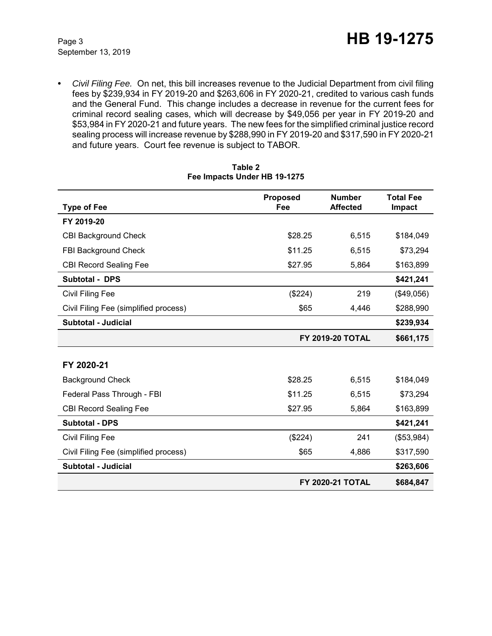**•** *Civil Filing Fee.* On net, this bill increases revenue to the Judicial Department from civil filing fees by \$239,934 in FY 2019-20 and \$263,606 in FY 2020-21, credited to various cash funds and the General Fund. This change includes a decrease in revenue for the current fees for criminal record sealing cases, which will decrease by \$49,056 per year in FY 2019-20 and \$53,984 in FY 2020-21 and future years. The new fees for the simplified criminal justice record sealing process will increase revenue by \$288,990 in FY 2019-20 and \$317,590 in FY 2020-21 and future years. Court fee revenue is subject to TABOR.

|                                       | <b>Proposed</b>         | <b>Number</b>           | <b>Total Fee</b> |
|---------------------------------------|-------------------------|-------------------------|------------------|
| <b>Type of Fee</b>                    | Fee                     | <b>Affected</b>         | <b>Impact</b>    |
| FY 2019-20                            |                         |                         |                  |
| <b>CBI Background Check</b>           | \$28.25                 | 6,515                   | \$184,049        |
| FBI Background Check                  | \$11.25                 | 6,515                   | \$73,294         |
| <b>CBI Record Sealing Fee</b>         | \$27.95                 | 5,864                   | \$163,899        |
| <b>Subtotal - DPS</b>                 |                         |                         | \$421,241        |
| Civil Filing Fee                      | (\$224)                 | 219                     | (\$49,056)       |
| Civil Filing Fee (simplified process) | \$65                    | 4,446                   | \$288,990        |
| <b>Subtotal - Judicial</b>            |                         |                         | \$239,934        |
|                                       | <b>FY 2019-20 TOTAL</b> |                         | \$661,175        |
|                                       |                         |                         |                  |
| FY 2020-21                            |                         |                         |                  |
| <b>Background Check</b>               | \$28.25                 | 6,515                   | \$184,049        |
| Federal Pass Through - FBI            | \$11.25                 | 6,515                   | \$73,294         |
| <b>CBI Record Sealing Fee</b>         | \$27.95                 | 5,864                   | \$163,899        |
| <b>Subtotal - DPS</b>                 |                         |                         | \$421,241        |
| Civil Filing Fee                      | (\$224)                 | 241                     | (\$53,984)       |
| Civil Filing Fee (simplified process) | \$65                    | 4,886                   | \$317,590        |
| Subtotal - Judicial                   |                         |                         | \$263,606        |
|                                       |                         | <b>FY 2020-21 TOTAL</b> | \$684,847        |

#### **Table 2 Fee Impacts Under HB 19-1275**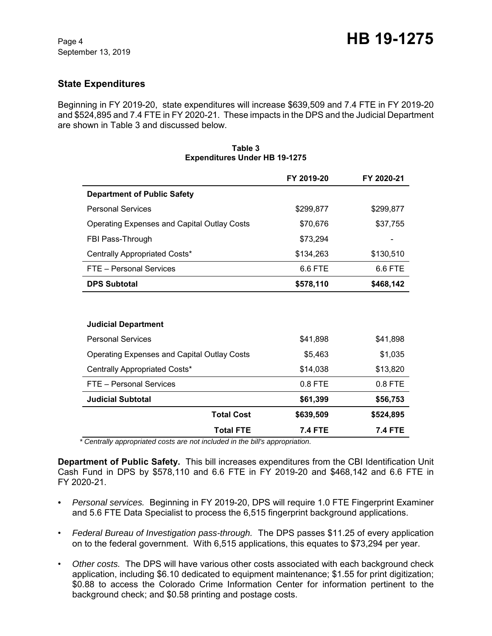## **State Expenditures**

Beginning in FY 2019-20, state expenditures will increase \$639,509 and 7.4 FTE in FY 2019-20 and \$524,895 and 7.4 FTE in FY 2020-21. These impacts in the DPS and the Judicial Department are shown in Table 3 and discussed below.

|                                                    | FY 2019-20 | FY 2020-21 |
|----------------------------------------------------|------------|------------|
| <b>Department of Public Safety</b>                 |            |            |
| <b>Personal Services</b>                           | \$299,877  | \$299,877  |
| <b>Operating Expenses and Capital Outlay Costs</b> | \$70,676   | \$37,755   |
| FBI Pass-Through                                   | \$73,294   |            |
| Centrally Appropriated Costs*                      | \$134,263  | \$130,510  |
| FTE - Personal Services                            | 6.6 FTE    | 6.6 FTE    |
| <b>DPS Subtotal</b>                                | \$578,110  | \$468,142  |
|                                                    |            |            |
|                                                    |            |            |
| <b>Judicial Department</b>                         |            |            |
| <b>Personal Services</b>                           | \$41,898   | \$41,898   |
| <b>Operating Expenses and Capital Outlay Costs</b> | \$5,463    | \$1,035    |
| Centrally Appropriated Costs*                      | \$14,038   | \$13,820   |
| FTE - Personal Services                            | 0.8 FTE    | 0.8 FTE    |
| <b>Judicial Subtotal</b>                           | \$61,399   | \$56,753   |
| <b>Total Cost</b>                                  | \$639,509  | \$524,895  |

#### **Table 3 Expenditures Under HB 19-1275**

 *\* Centrally appropriated costs are not included in the bill's appropriation.*

**Department of Public Safety.** This bill increases expenditures from the CBI Identification Unit Cash Fund in DPS by \$578,110 and 6.6 FTE in FY 2019-20 and \$468,142 and 6.6 FTE in FY 2020-21.

**Total FTE 7.4 FTE 7.4 FTE**

- *Personal services.* Beginning in FY 2019-20, DPS will require 1.0 FTE Fingerprint Examiner and 5.6 FTE Data Specialist to process the 6,515 fingerprint background applications.
- *Federal Bureau of Investigation pass-through.* The DPS passes \$11.25 of every application on to the federal government. With 6,515 applications, this equates to \$73,294 per year.
- *Other costs.* The DPS will have various other costs associated with each background check application, including \$6.10 dedicated to equipment maintenance; \$1.55 for print digitization; \$0.88 to access the Colorado Crime Information Center for information pertinent to the background check; and \$0.58 printing and postage costs.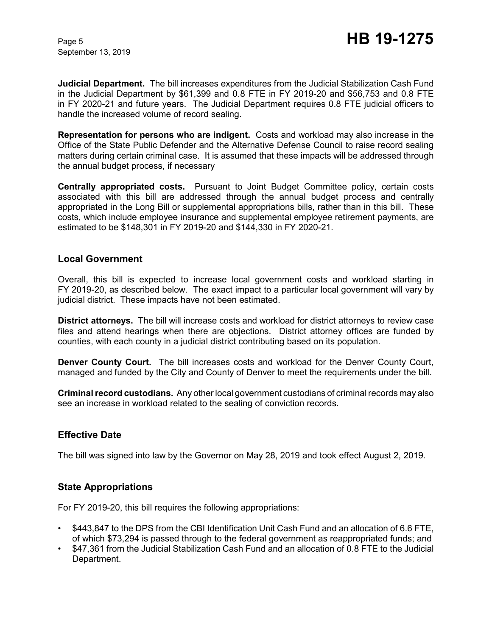**Judicial Department.** The bill increases expenditures from the Judicial Stabilization Cash Fund in the Judicial Department by \$61,399 and 0.8 FTE in FY 2019-20 and \$56,753 and 0.8 FTE in FY 2020-21 and future years. The Judicial Department requires 0.8 FTE judicial officers to handle the increased volume of record sealing.

**Representation for persons who are indigent.** Costs and workload may also increase in the Office of the State Public Defender and the Alternative Defense Council to raise record sealing matters during certain criminal case. It is assumed that these impacts will be addressed through the annual budget process, if necessary

**Centrally appropriated costs.** Pursuant to Joint Budget Committee policy, certain costs associated with this bill are addressed through the annual budget process and centrally appropriated in the Long Bill or supplemental appropriations bills, rather than in this bill. These costs, which include employee insurance and supplemental employee retirement payments, are estimated to be \$148,301 in FY 2019-20 and \$144,330 in FY 2020-21.

### **Local Government**

Overall, this bill is expected to increase local government costs and workload starting in FY 2019-20, as described below. The exact impact to a particular local government will vary by judicial district. These impacts have not been estimated.

**District attorneys.** The bill will increase costs and workload for district attorneys to review case files and attend hearings when there are objections. District attorney offices are funded by counties, with each county in a judicial district contributing based on its population.

**Denver County Court.** The bill increases costs and workload for the Denver County Court, managed and funded by the City and County of Denver to meet the requirements under the bill.

**Criminal record custodians.** Any other local government custodians of criminal records may also see an increase in workload related to the sealing of conviction records.

## **Effective Date**

The bill was signed into law by the Governor on May 28, 2019 and took effect August 2, 2019.

## **State Appropriations**

For FY 2019-20, this bill requires the following appropriations:

- \$443,847 to the DPS from the CBI Identification Unit Cash Fund and an allocation of 6.6 FTE, of which \$73,294 is passed through to the federal government as reappropriated funds; and
- \$47,361 from the Judicial Stabilization Cash Fund and an allocation of 0.8 FTE to the Judicial Department.